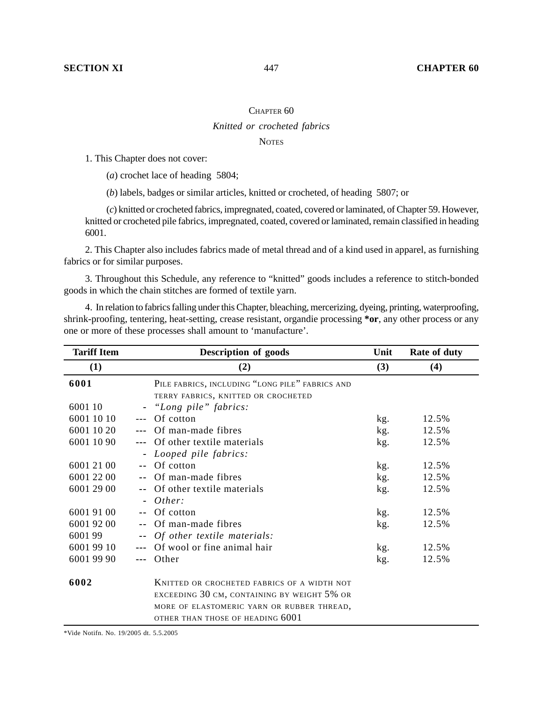## CHAPTER 60 *Knitted or crocheted fabrics*

## **NOTES**

1. This Chapter does not cover:

(*a*) crochet lace of heading 5804;

(*b*) labels, badges or similar articles, knitted or crocheted, of heading 5807; or

(*c*) knitted or crocheted fabrics, impregnated, coated, covered or laminated, of Chapter 59. However, knitted or crocheted pile fabrics, impregnated, coated, covered or laminated, remain classified in heading 6001.

2. This Chapter also includes fabrics made of metal thread and of a kind used in apparel, as furnishing fabrics or for similar purposes.

3. Throughout this Schedule, any reference to "knitted" goods includes a reference to stitch-bonded goods in which the chain stitches are formed of textile yarn.

4. In relation to fabrics falling under this Chapter, bleaching, mercerizing, dyeing, printing, waterproofing, shrink-proofing, tentering, heat-setting, crease resistant, organdie processing **\*or**, any other process or any one or more of these processes shall amount to 'manufacture'.

| <b>Tariff Item</b> | <b>Description of goods</b>                     | Unit | Rate of duty |
|--------------------|-------------------------------------------------|------|--------------|
| (1)                | (2)                                             | (3)  | (4)          |
| 6001               | PILE FABRICS, INCLUDING "LONG PILE" FABRICS AND |      |              |
|                    | TERRY FABRICS, KNITTED OR CROCHETED             |      |              |
| 6001 10            | "Long pile" fabrics:<br>٠                       |      |              |
| 6001 10 10         | Of cotton                                       | kg.  | 12.5%        |
| 6001 10 20         | Of man-made fibres                              | kg.  | 12.5%        |
| 6001 10 90         | Of other textile materials                      | kg.  | 12.5%        |
|                    | Looped pile fabrics:<br>$\blacksquare$          |      |              |
| 6001 21 00         | Of cotton<br>$\sim$ $\sim$                      | kg.  | 12.5%        |
| 6001 22 00         | Of man-made fibres                              | kg.  | 12.5%        |
| 6001 29 00         | Of other textile materials<br>--                | kg.  | 12.5%        |
|                    | Other:                                          |      |              |
| 6001 91 00         | Of cotton                                       | kg.  | 12.5%        |
| 6001 92 00         | Of man-made fibres                              | kg.  | 12.5%        |
| 600199             | Of other textile materials:                     |      |              |
| 6001 99 10         | Of wool or fine animal hair                     | kg.  | 12.5%        |
| 6001 99 90         | Other                                           | kg.  | 12.5%        |
| 6002               | KNITTED OR CROCHETED FABRICS OF A WIDTH NOT     |      |              |
|                    | EXCEEDING 30 CM, CONTAINING BY WEIGHT 5% OR     |      |              |
|                    | MORE OF ELASTOMERIC YARN OR RUBBER THREAD,      |      |              |
|                    | OTHER THAN THOSE OF HEADING 6001                |      |              |

\*Vide Notifn. No. 19/2005 dt. 5.5.2005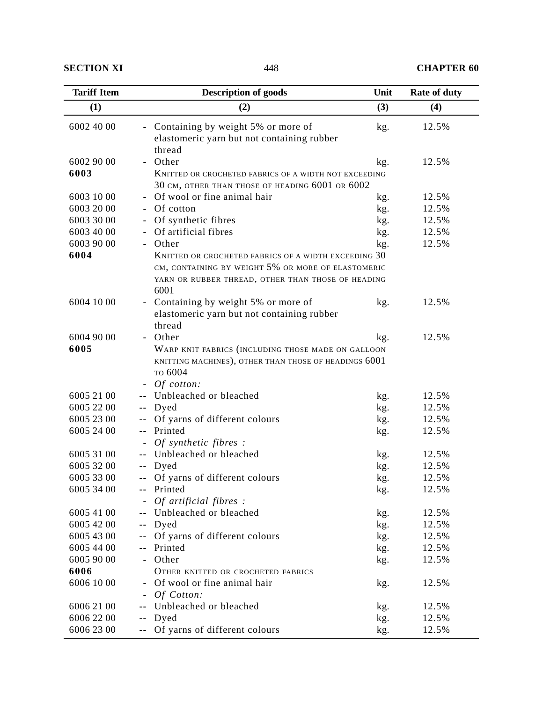**SECTION XI** 448 **CHAPTER 60** 

| <b>Tariff Item</b> | <b>Description of goods</b>                                  | Unit | Rate of duty |  |
|--------------------|--------------------------------------------------------------|------|--------------|--|
| (1)                | (2)                                                          | (3)  | (4)          |  |
| 6002 40 00         | - Containing by weight 5% or more of                         | kg.  | 12.5%        |  |
|                    | elastomeric yarn but not containing rubber                   |      |              |  |
|                    | thread                                                       |      |              |  |
| 6002 90 00         | Other                                                        | kg.  | 12.5%        |  |
| 6003               | <b>KNITTED OR CROCHETED FABRICS OF A WIDTH NOT EXCEEDING</b> |      |              |  |
|                    | 30 CM, OTHER THAN THOSE OF HEADING 6001 OR 6002              |      |              |  |
| 6003 10 00         | Of wool or fine animal hair<br>$\blacksquare$                | kg.  | 12.5%        |  |
| 6003 20 00         | Of cotton                                                    | kg.  | 12.5%        |  |
| 6003 30 00         | Of synthetic fibres                                          | kg.  | 12.5%        |  |
| 6003 40 00         | Of artificial fibres                                         | kg.  | 12.5%        |  |
| 6003 90 00         | Other<br>$\blacksquare$                                      | kg.  | 12.5%        |  |
| 6004               | KNITTED OR CROCHETED FABRICS OF A WIDTH EXCEEDING 30         |      |              |  |
|                    | CM, CONTAINING BY WEIGHT 5% OR MORE OF ELASTOMERIC           |      |              |  |
|                    | YARN OR RUBBER THREAD, OTHER THAN THOSE OF HEADING<br>6001   |      |              |  |
| 6004 10 00         | Containing by weight 5% or more of<br>$\blacksquare$         | kg.  | 12.5%        |  |
|                    | elastomeric yarn but not containing rubber                   |      |              |  |
|                    | thread                                                       |      |              |  |
| 6004 90 00         | Other                                                        | kg.  | 12.5%        |  |
| 6005               | WARP KNIT FABRICS (INCLUDING THOSE MADE ON GALLOON           |      |              |  |
|                    | KNITTING MACHINES), OTHER THAN THOSE OF HEADINGS 6001        |      |              |  |
|                    | то 6004                                                      |      |              |  |
|                    | <i>Of cotton:</i>                                            |      |              |  |
| 6005 21 00         | Unbleached or bleached                                       | kg.  | 12.5%        |  |
| 6005 22 00         | Dyed<br>۰.                                                   | kg.  | 12.5%        |  |
| 6005 23 00         | Of yarns of different colours<br>$\sim$ $-$                  | kg.  | 12.5%        |  |
| 6005 24 00         | Printed<br>--                                                | kg.  | 12.5%        |  |
|                    | Of synthetic fibres:                                         |      |              |  |
| 6005 31 00         | Unbleached or bleached                                       | kg.  | 12.5%        |  |
| 6005 32 00         | Dyed<br>--                                                   | kg.  | 12.5%        |  |
| 6005 33 00         | Of yarns of different colours<br>۰.                          | kg.  | 12.5%        |  |
| 6005 34 00         | Printed<br>$\sim$ $-$                                        | kg.  | 12.5%        |  |
|                    | <i>Of artificial fibres:</i>                                 |      |              |  |
| 6005 41 00         | Unbleached or bleached                                       | kg.  | 12.5%        |  |
| 6005 42 00         | Dyed<br>$\overline{\phantom{a}}$ .                           | kg.  | 12.5%        |  |
| 6005 43 00         | Of yarns of different colours<br>۰-                          | kg.  | 12.5%        |  |
| 6005 44 00         | Printed<br>$\overline{\phantom{a}}$                          | kg.  | 12.5%        |  |
| 6005 90 00         | Other                                                        | kg.  | 12.5%        |  |
| 6006               | OTHER KNITTED OR CROCHETED FABRICS                           |      |              |  |
| 6006 10 00         | Of wool or fine animal hair                                  | kg.  | 12.5%        |  |
|                    | <i>Of Cotton:</i>                                            |      |              |  |
| 6006 21 00         | Unbleached or bleached                                       | kg.  | 12.5%        |  |
| 6006 22 00         | Dyed<br>$\sim$ $-$                                           | kg.  | 12.5%        |  |
| 6006 23 00         | -- Of yarns of different colours                             | kg.  | 12.5%        |  |